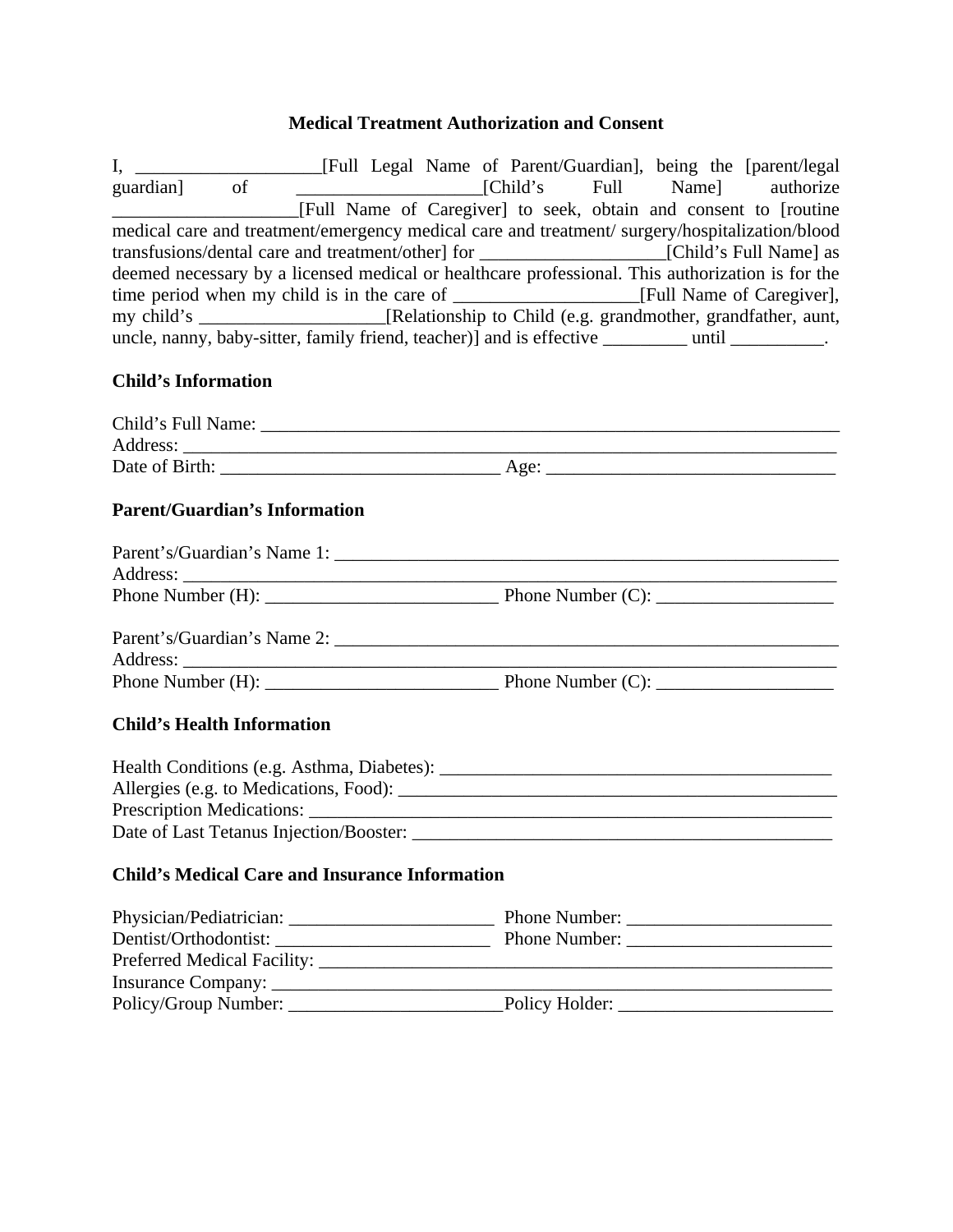### **Medical Treatment Authorization and Consent**

I, \_\_\_\_\_\_\_\_\_\_\_\_\_\_\_\_\_\_\_\_[Full Legal Name of Parent/Guardian], being the [parent/legal guardian] of \_\_\_\_\_\_\_\_\_\_\_\_\_\_\_\_\_\_\_\_[Child's Full Name] authorize \_\_\_\_\_\_\_\_\_\_\_\_\_\_\_\_\_\_\_\_[Full Name of Caregiver] to seek, obtain and consent to [routine medical care and treatment/emergency medical care and treatment/ surgery/hospitalization/blood transfusions/dental care and treatment/other] for \_\_\_\_\_\_\_\_\_\_\_\_\_\_\_\_\_\_\_\_[Child's Full Name] as deemed necessary by a licensed medical or healthcare professional. This authorization is for the time period when my child is in the care of \_\_\_\_\_\_\_\_\_\_\_\_\_\_\_\_\_\_\_\_[Full Name of Caregiver], my child's [Relationship to Child (e.g. grandmother, grandfather, aunt, uncle, nanny, baby-sitter, family friend, teacher)] and is effective \_\_\_\_\_\_\_\_\_ until \_\_\_\_\_\_\_\_\_\_.

# **Child's Information**

| Child's Full Name: |      |
|--------------------|------|
| Address:           |      |
| Date of Birth:     | Age: |

### **Parent/Guardian's Information**

| Phone Number (H): New York Changes and The Number (H): |  |
|--------------------------------------------------------|--|
|                                                        |  |
| Parent's/Guardian's Name 2:                            |  |
|                                                        |  |
|                                                        |  |

# **Child's Health Information**

| Health Conditions (e.g. Asthma, Diabetes): |
|--------------------------------------------|
| Allergies (e.g. to Medications, Food):     |
| Prescription Medications:                  |
| Date of Last Tetanus Injection/Booster:    |

#### **Child's Medical Care and Insurance Information**

| Dentist/Orthodontist:                                                                                                                                                                                                          | Phone Number:  |
|--------------------------------------------------------------------------------------------------------------------------------------------------------------------------------------------------------------------------------|----------------|
| Preferred Medical Facility: Network of the Contract of the Contract of the Contract of the Contract of the Contract of the Contract of the Contract of the Contract of the Contract of the Contract of the Contract of the Con |                |
|                                                                                                                                                                                                                                |                |
|                                                                                                                                                                                                                                | Policy Holder: |